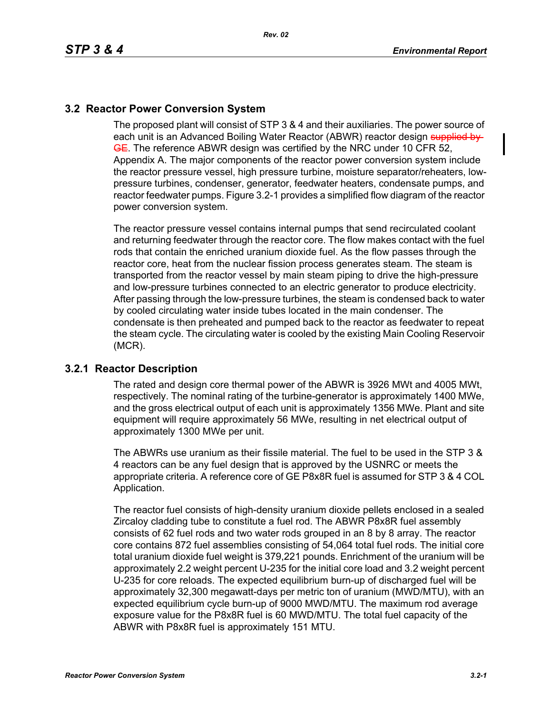## **3.2 Reactor Power Conversion System**

The proposed plant will consist of STP 3 & 4 and their auxiliaries. The power source of each unit is an Advanced Boiling Water Reactor (ABWR) reactor design supplied by **GE.** The reference ABWR design was certified by the NRC under 10 CFR 52, Appendix A. The major components of the reactor power conversion system include the reactor pressure vessel, high pressure turbine, moisture separator/reheaters, lowpressure turbines, condenser, generator, feedwater heaters, condensate pumps, and reactor feedwater pumps. Figure 3.2-1 provides a simplified flow diagram of the reactor power conversion system.

The reactor pressure vessel contains internal pumps that send recirculated coolant and returning feedwater through the reactor core. The flow makes contact with the fuel rods that contain the enriched uranium dioxide fuel. As the flow passes through the reactor core, heat from the nuclear fission process generates steam. The steam is transported from the reactor vessel by main steam piping to drive the high-pressure and low-pressure turbines connected to an electric generator to produce electricity. After passing through the low-pressure turbines, the steam is condensed back to water by cooled circulating water inside tubes located in the main condenser. The condensate is then preheated and pumped back to the reactor as feedwater to repeat the steam cycle. The circulating water is cooled by the existing Main Cooling Reservoir (MCR).

## **3.2.1 Reactor Description**

The rated and design core thermal power of the ABWR is 3926 MWt and 4005 MWt, respectively. The nominal rating of the turbine-generator is approximately 1400 MWe, and the gross electrical output of each unit is approximately 1356 MWe. Plant and site equipment will require approximately 56 MWe, resulting in net electrical output of approximately 1300 MWe per unit.

The ABWRs use uranium as their fissile material. The fuel to be used in the STP 3 & 4 reactors can be any fuel design that is approved by the USNRC or meets the appropriate criteria. A reference core of GE P8x8R fuel is assumed for STP 3 & 4 COL Application.

The reactor fuel consists of high-density uranium dioxide pellets enclosed in a sealed Zircaloy cladding tube to constitute a fuel rod. The ABWR P8x8R fuel assembly consists of 62 fuel rods and two water rods grouped in an 8 by 8 array. The reactor core contains 872 fuel assemblies consisting of 54,064 total fuel rods. The initial core total uranium dioxide fuel weight is 379,221 pounds. Enrichment of the uranium will be approximately 2.2 weight percent U-235 for the initial core load and 3.2 weight percent U-235 for core reloads. The expected equilibrium burn-up of discharged fuel will be approximately 32,300 megawatt-days per metric ton of uranium (MWD/MTU), with an expected equilibrium cycle burn-up of 9000 MWD/MTU. The maximum rod average exposure value for the P8x8R fuel is 60 MWD/MTU. The total fuel capacity of the ABWR with P8x8R fuel is approximately 151 MTU.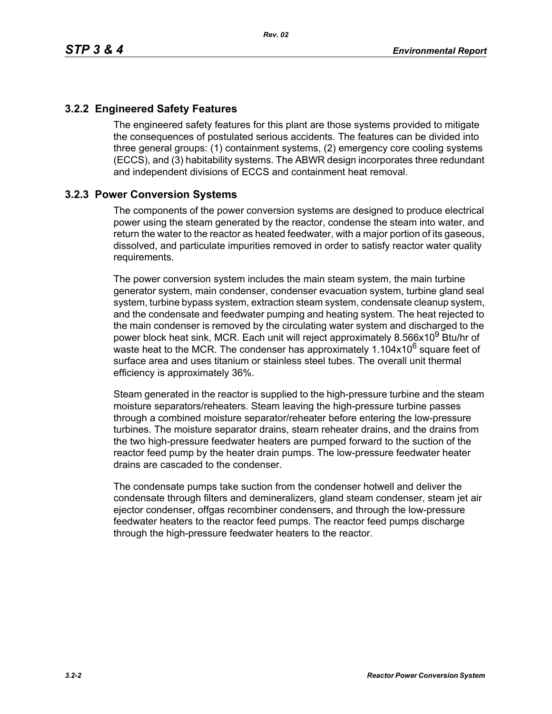## **3.2.2 Engineered Safety Features**

The engineered safety features for this plant are those systems provided to mitigate the consequences of postulated serious accidents. The features can be divided into three general groups: (1) containment systems, (2) emergency core cooling systems (ECCS), and (3) habitability systems. The ABWR design incorporates three redundant and independent divisions of ECCS and containment heat removal.

## **3.2.3 Power Conversion Systems**

The components of the power conversion systems are designed to produce electrical power using the steam generated by the reactor, condense the steam into water, and return the water to the reactor as heated feedwater, with a major portion of its gaseous, dissolved, and particulate impurities removed in order to satisfy reactor water quality requirements.

The power conversion system includes the main steam system, the main turbine generator system, main condenser, condenser evacuation system, turbine gland seal system, turbine bypass system, extraction steam system, condensate cleanup system, and the condensate and feedwater pumping and heating system. The heat rejected to the main condenser is removed by the circulating water system and discharged to the power block heat sink, MCR. Each unit will reject approximately 8.566x10<sup>9</sup> Btu/hr of waste heat to the MCR. The condenser has approximately  $1.104x10^6$  square feet of surface area and uses titanium or stainless steel tubes. The overall unit thermal efficiency is approximately 36%.

Steam generated in the reactor is supplied to the high-pressure turbine and the steam moisture separators/reheaters. Steam leaving the high-pressure turbine passes through a combined moisture separator/reheater before entering the low-pressure turbines. The moisture separator drains, steam reheater drains, and the drains from the two high-pressure feedwater heaters are pumped forward to the suction of the reactor feed pump by the heater drain pumps. The low-pressure feedwater heater drains are cascaded to the condenser.

The condensate pumps take suction from the condenser hotwell and deliver the condensate through filters and demineralizers, gland steam condenser, steam jet air ejector condenser, offgas recombiner condensers, and through the low-pressure feedwater heaters to the reactor feed pumps. The reactor feed pumps discharge through the high-pressure feedwater heaters to the reactor.